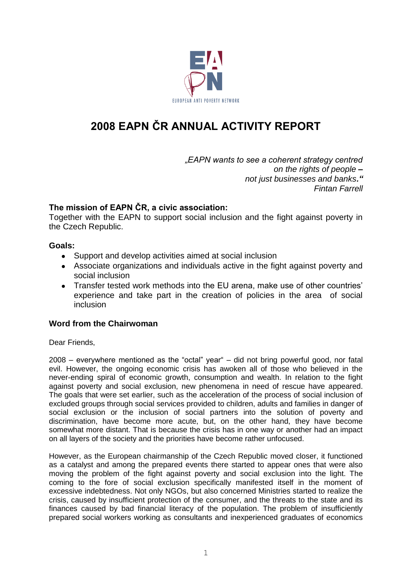

# **2008 EAPN ČR ANNUAL ACTIVITY REPORT**

*"EAPN wants to see a coherent strategy centred on the rights of people – not just businesses and banks." Fintan Farrell*

## **The mission of EAPN ČR, a civic association:**

Together with the EAPN to support social inclusion and the fight against poverty in the Czech Republic.

#### **Goals:**

- Support and develop activities aimed at social inclusion
- Associate organizations and individuals active in the fight against poverty and social inclusion
- Transfer tested work methods into the EU arena, make use of other countries' experience and take part in the creation of policies in the area of social inclusion

## **Word from the Chairwoman**

Dear Friends,

2008 – everywhere mentioned as the "octal" year" – did not bring powerful good, nor fatal evil. However, the ongoing economic crisis has awoken all of those who believed in the never-ending spiral of economic growth, consumption and wealth. In relation to the fight against poverty and social exclusion, new phenomena in need of rescue have appeared. The goals that were set earlier, such as the acceleration of the process of social inclusion of excluded groups through social services provided to children, adults and families in danger of social exclusion or the inclusion of social partners into the solution of poverty and discrimination, have become more acute, but, on the other hand, they have become somewhat more distant. That is because the crisis has in one way or another had an impact on all layers of the society and the priorities have become rather unfocused.

However, as the European chairmanship of the Czech Republic moved closer, it functioned as a catalyst and among the prepared events there started to appear ones that were also moving the problem of the fight against poverty and social exclusion into the light. The coming to the fore of social exclusion specifically manifested itself in the moment of excessive indebtedness. Not only NGOs, but also concerned Ministries started to realize the crisis, caused by insufficient protection of the consumer, and the threats to the state and its finances caused by bad financial literacy of the population. The problem of insufficiently prepared social workers working as consultants and inexperienced graduates of economics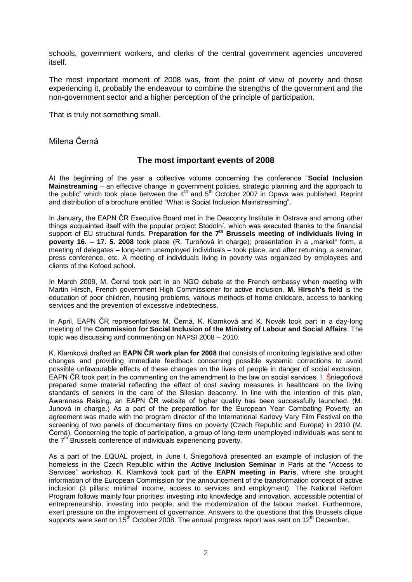schools, government workers, and clerks of the central government agencies uncovered itself.

The most important moment of 2008 was, from the point of view of poverty and those experiencing it, probably the endeavour to combine the strengths of the government and the non-government sector and a higher perception of the principle of participation.

That is truly not something small.

Milena Černá

#### **The most important events of 2008**

At the beginning of the year a collective volume concerning the conference "**Social Inclusion Mainstreaming** – an effective change in government policies, strategic planning and the approach to the public" which took place between the  $4<sup>th</sup>$  and  $5<sup>th</sup>$  October 2007 in Opava was published. Reprint and distribution of a brochure entitled "What is Social Inclusion Mainstreaming".

In January, the EAPN ČR Executive Board met in the Deaconry Institute in Ostrava and among other things acquainted itself with the popular project Stodolní, which was executed thanks to the financial support of EU structural funds. P**reparation for the 7th Brussels meeting of individuals living in poverty 16. – 17. 5. 2008** took place (R. Turoňová in charge); presentation in a "market" form, a meeting of delegates – long-term unemployed individuals – took place, and after returning, a seminar, press conference, etc. A meeting of individuals living in poverty was organized by employees and clients of the Kofoed school.

In March 2009, M. Černá took part in an NGO debate at the French embassy when meeting with Martin Hirsch, French government High Commissioner for active inclusion. **M. Hirsch's field** is the education of poor children, housing problems, various methods of home childcare, access to banking services and the prevention of excessive indebtedness.

In April, EAPN ČR representatives M. Černá, K. Klamková and K. Novák took part in a day-long meeting of the **Commission for Social Inclusion of the Ministry of Labour and Social Affairs**. The topic was discussing and commenting on NAPSI 2008 – 2010.

K. Klamková drafted an **EAPN ČR work plan for 2008** that consists of monitoring legislative and other changes and providing immediate feedback concerning possible systemic corrections to avoid possible unfavourable effects of these changes on the lives of people in danger of social exclusion. EAPN ČR took part in the commenting on the amendment to the law on social services. I. Śniegoňová prepared some material reflecting the effect of cost saving measures in healthcare on the living standards of seniors in the care of the Silesian deaconry. In line with the intention of this plan, Awareness Raising, an EAPN ČR website of higher quality has been successfully launched. (M. Junová in charge.) As a part of the preparation for the European Year Combating Poverty, an agreement was made with the program director of the International Karlovy Vary Film Festival on the screening of two panels of documentary films on poverty (Czech Republic and Europe) in 2010 (M. Černá). Concerning the topic of participation, a group of long-term unemployed individuals was sent to the  $7<sup>th</sup>$  Brussels conference of individuals experiencing poverty.

As a part of the EQUAL project, in June I. Śniegoňová presented an example of inclusion of the homeless in the Czech Republic within the **Active Inclusion Seminar** in Paris at the "Access to Services" workshop. K. Klamková took part of the **EAPN meeting in Paris**, where she brought information of the European Commission for the announcement of the transformation concept of active inclusion (3 pillars: minimal income, access to services and employment). The National Reform Program follows mainly four priorities: investing into knowledge and innovation, accessible potential of entrepreneurship, investing into people, and the modernization of the labour market. Furthermore, exert pressure on the improvement of governance. Answers to the questions that this Brussels clique supports were sent on  $15^{th}$  October 2008. The annual progress report was sent on  $12^{th}$  December.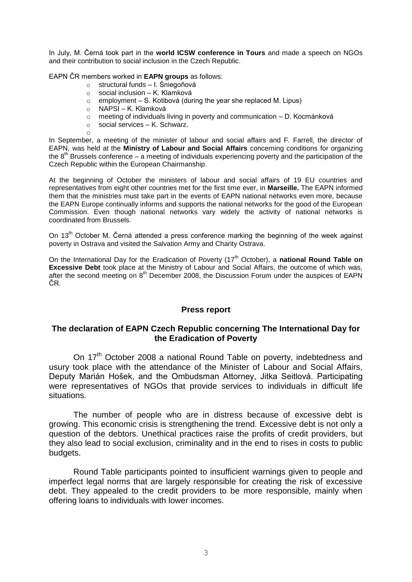In July, M. Černá took part in the **world ICSW conference in Tours** and made a speech on NGOs and their contribution to social inclusion in the Czech Republic.

EAPN ČR members worked in **EAPN groups** as follows:

- o structural funds I. Śniegoňová
- o social inclusion K. Klamková
- employment S. Kotibová (during the year she replaced M. Lipus) o employment – S. Kotib<br>o NAPSI – K. Klamková
- 

o

- o meeting of individuals living in poverty and communication D. Kocmánková
- $\circ$  social services K. Schwarz.

In September, a meeting of the minister of labour and social affairs and F. Farrell, the director of EAPN, was held at the **Ministry of Labour and Social Affairs** concerning conditions for organizing the  $8<sup>th</sup>$  Brussels conference – a meeting of individuals experiencing poverty and the participation of the Czech Republic within the European Chairmanship.

At the beginning of October the ministers of labour and social affairs of 19 EU countries and representatives from eight other countries met for the first time ever, in **Marseille.** The EAPN informed them that the ministries must take part in the events of EAPN national networks even more, because the EAPN Europe continually informs and supports the national networks for the good of the European Commission. Even though national networks vary widely the activity of national networks is coordinated from Brussels.

On 13<sup>th</sup> October M. Černá attended a press conference marking the beginning of the week against poverty in Ostrava and visited the Salvation Army and Charity Ostrava.

On the International Day for the Eradication of Poverty (17<sup>th</sup> October), a **national Round Table on Excessive Debt** took place at the Ministry of Labour and Social Affairs, the outcome of which was, after the second meeting on  $8<sup>th</sup>$  December 2008, the Discussion Forum under the auspices of EAPN ČR.

#### **Press report**

#### **The declaration of EAPN Czech Republic concerning The International Day for the Eradication of Poverty**

On 17<sup>th</sup> October 2008 a national Round Table on poverty, indebtedness and usury took place with the attendance of the Minister of Labour and Social Affairs, Deputy Marián Hošek, and the Ombudsman Attorney, Jitka Seitlová. Participating were representatives of NGOs that provide services to individuals in difficult life situations.

The number of people who are in distress because of excessive debt is growing. This economic crisis is strengthening the trend. Excessive debt is not only a question of the debtors. Unethical practices raise the profits of credit providers, but they also lead to social exclusion, criminality and in the end to rises in costs to public budgets.

Round Table participants pointed to insufficient warnings given to people and imperfect legal norms that are largely responsible for creating the risk of excessive debt. They appealed to the credit providers to be more responsible, mainly when offering loans to individuals with lower incomes.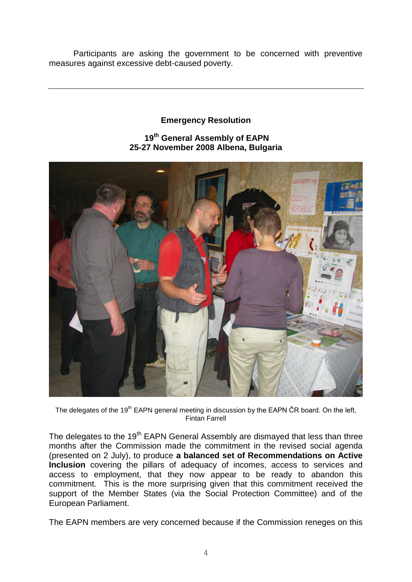Participants are asking the government to be concerned with preventive measures against excessive debt-caused poverty.

# **Emergency Resolution**

# **19th General Assembly of EAPN 25-27 November 2008 Albena, Bulgaria**



The delegates of the 19<sup>th</sup> EAPN general meeting in discussion by the EAPN CR board. On the left, Fintan Farrell

The delegates to the 19<sup>th</sup> EAPN General Assembly are dismayed that less than three months after the Commission made the commitment in the revised social agenda (presented on 2 July), to produce **a balanced set of Recommendations on Active Inclusion** covering the pillars of adequacy of incomes, access to services and access to employment, that they now appear to be ready to abandon this commitment. This is the more surprising given that this commitment received the support of the Member States (via the Social Protection Committee) and of the European Parliament.

The EAPN members are very concerned because if the Commission reneges on this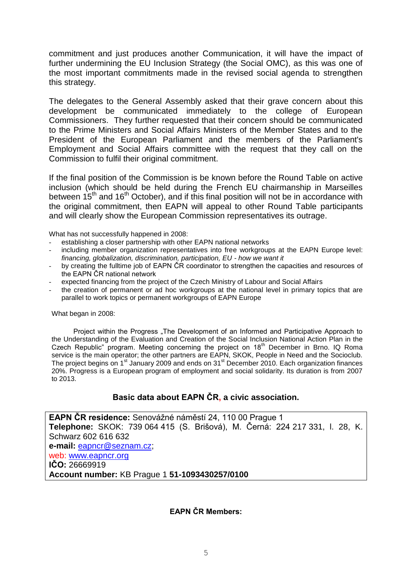commitment and just produces another Communication, it will have the impact of further undermining the EU Inclusion Strategy (the Social OMC), as this was one of the most important commitments made in the revised social agenda to strengthen this strategy.

The delegates to the General Assembly asked that their grave concern about this development be communicated immediately to the college of European Commissioners. They further requested that their concern should be communicated to the Prime Ministers and Social Affairs Ministers of the Member States and to the President of the European Parliament and the members of the Parliament's Employment and Social Affairs committee with the request that they call on the Commission to fulfil their original commitment.

If the final position of the Commission is be known before the Round Table on active inclusion (which should be held during the French EU chairmanship in Marseilles between  $15<sup>th</sup>$  and  $16<sup>th</sup>$  October), and if this final position will not be in accordance with the original commitment, then EAPN will appeal to other Round Table participants and will clearly show the European Commission representatives its outrage.

What has not successfully happened in 2008:

- establishing a closer partnership with other EAPN national networks
- including member organization representatives into free workgroups at the EAPN Europe level: *financing, globalization, discrimination, participation, EU - how we want it*
- by creating the fulltime job of EAPN ČR coordinator to strengthen the capacities and resources of the EAPN ČR national network
- expected financing from the project of the Czech Ministry of Labour and Social Affairs
- the creation of permanent or ad hoc workgroups at the national level in primary topics that are parallel to work topics or permanent workgroups of EAPN Europe

What began in 2008:

Project within the Progress "The Development of an Informed and Participative Approach to the Understanding of the Evaluation and Creation of the Social Inclusion National Action Plan in the Czech Republic" program. Meeting concerning the project on 18<sup>th</sup> December in Brno. IQ Roma service is the main operator; the other partners are EAPN, SKOK, People in Need and the Socioclub. The project begins on 1<sup>st</sup> January 2009 and ends on 31<sup>st</sup> December 2010. Each organization finances 20%. Progress is a European program of employment and social solidarity. Its duration is from 2007 to 2013.

# **Basic data about EAPN ČR, a civic association.**

**EAPN ČR residence:** Senovážné náměstí 24, 110 00 Prague 1 **Telephone:** SKOK: 739 064 415 (S. Brišová), M. Černá: 224 217 331, l. 28, K. Schwarz 602 616 632 **e-mail:** [eapncr@seznam.cz;](mailto:eapncr@seznam.cz) web: [www.eapncr.org](http://www.eapncr.org/) **IČO:** 26669919 **Account number:** KB Prague 1 **51-1093430257/0100**

## **EAPN ČR Members:**